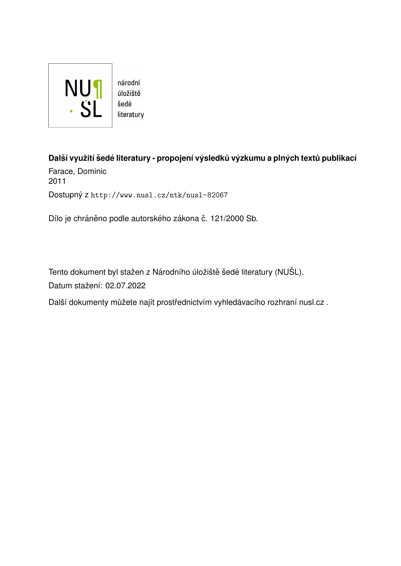

úložiště literatury

**Dals´ı vyuˇzit´ı ˇ sed ˇ e literatury - propojen´ı v ´ysledk ˚u v ´yzkumu a pln ´ych text ˚u publikac´ı ´** Farace, Dominic

2011 Dostupný z <http://www.nusl.cz/ntk/nusl-82067>

Dílo je chráněno podle autorského zákona č. 121/2000 Sb.

Tento dokument byl stažen z Národního úložiště šedé literatury (NUŠL). Datum stažení: 02.07.2022

Další dokumenty můžete najít prostřednictvím vyhledávacího rozhraní [nusl.cz](http://www.nusl.cz) .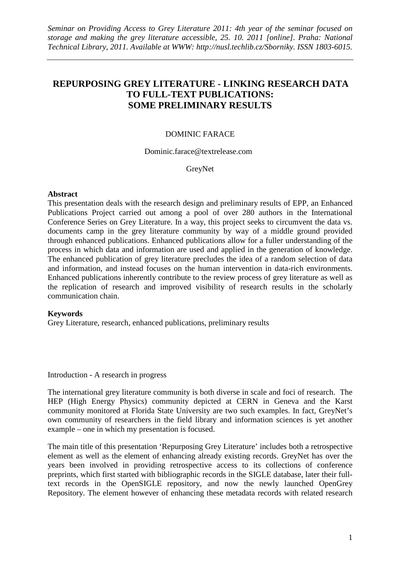# **REPURPOSING GREY LITERATURE - LINKING RESEARCH DATA TO FULL-TEXT PUBLICATIONS: SOME PRELIMINARY RESULTS**

## DOMINIC FARACE

Dominic.farace@textrelease.com

GreyNet

#### **Abstract**

This presentation deals with the research design and preliminary results of EPP, an Enhanced Publications Project carried out among a pool of over 280 authors in the International Conference Series on Grey Literature. In a way, this project seeks to circumvent the data vs. documents camp in the grey literature community by way of a middle ground provided through enhanced publications. Enhanced publications allow for a fuller understanding of the process in which data and information are used and applied in the generation of knowledge. The enhanced publication of grey literature precludes the idea of a random selection of data and information, and instead focuses on the human intervention in data-rich environments. Enhanced publications inherently contribute to the review process of grey literature as well as the replication of research and improved visibility of research results in the scholarly communication chain.

### **Keywords**

Grey Literature, research, enhanced publications, preliminary results

Introduction - A research in progress

The international grey literature community is both diverse in scale and foci of research. The HEP (High Energy Physics) community depicted at CERN in Geneva and the Karst community monitored at Florida State University are two such examples. In fact, GreyNet's own community of researchers in the field library and information sciences is yet another example – one in which my presentation is focused.

The main title of this presentation 'Repurposing Grey Literature' includes both a retrospective element as well as the element of enhancing already existing records. GreyNet has over the years been involved in providing retrospective access to its collections of conference preprints, which first started with bibliographic records in the SIGLE database, later their fulltext records in the OpenSIGLE repository, and now the newly launched OpenGrey Repository. The element however of enhancing these metadata records with related research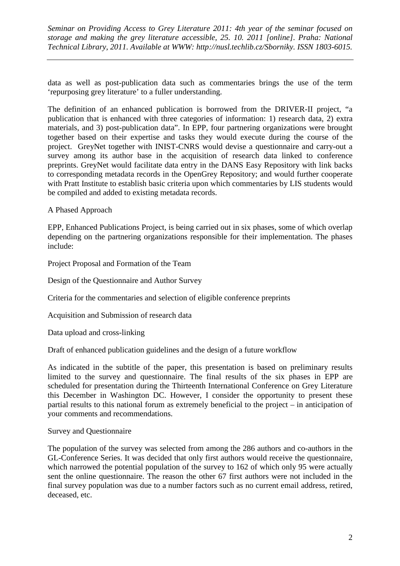data as well as post-publication data such as commentaries brings the use of the term 'repurposing grey literature' to a fuller understanding.

The definition of an enhanced publication is borrowed from the DRIVER-II project, "a publication that is enhanced with three categories of information: 1) research data, 2) extra materials, and 3) post-publication data". In EPP, four partnering organizations were brought together based on their expertise and tasks they would execute during the course of the project. GreyNet together with INIST-CNRS would devise a questionnaire and carry-out a survey among its author base in the acquisition of research data linked to conference preprints. GreyNet would facilitate data entry in the DANS Easy Repository with link backs to corresponding metadata records in the OpenGrey Repository; and would further cooperate with Pratt Institute to establish basic criteria upon which commentaries by LIS students would be compiled and added to existing metadata records.

A Phased Approach

EPP, Enhanced Publications Project, is being carried out in six phases, some of which overlap depending on the partnering organizations responsible for their implementation. The phases include:

Project Proposal and Formation of the Team

Design of the Questionnaire and Author Survey

Criteria for the commentaries and selection of eligible conference preprints

Acquisition and Submission of research data

Data upload and cross-linking

Draft of enhanced publication guidelines and the design of a future workflow

As indicated in the subtitle of the paper, this presentation is based on preliminary results limited to the survey and questionnaire. The final results of the six phases in EPP are scheduled for presentation during the Thirteenth International Conference on Grey Literature this December in Washington DC. However, I consider the opportunity to present these partial results to this national forum as extremely beneficial to the project – in anticipation of your comments and recommendations.

Survey and Questionnaire

The population of the survey was selected from among the 286 authors and co-authors in the GL-Conference Series. It was decided that only first authors would receive the questionnaire, which narrowed the potential population of the survey to 162 of which only 95 were actually sent the online questionnaire. The reason the other 67 first authors were not included in the final survey population was due to a number factors such as no current email address, retired, deceased, etc.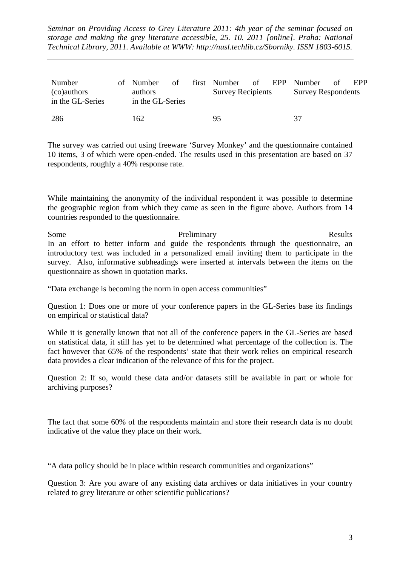| Number<br>(co)authors<br>in the GL-Series | of Number<br>of<br>authors<br>in the GL-Series | first Number<br><b>Survey Recipients</b> | of | EPP Number<br><b>Survey Respondents</b> | Ω£ | EPP |
|-------------------------------------------|------------------------------------------------|------------------------------------------|----|-----------------------------------------|----|-----|
| 286                                       | 162                                            | 95                                       |    | 37                                      |    |     |

The survey was carried out using freeware 'Survey Monkey' and the questionnaire contained 10 items, 3 of which were open-ended. The results used in this presentation are based on 37 respondents, roughly a 40% response rate.

While maintaining the anonymity of the individual respondent it was possible to determine the geographic region from which they came as seen in the figure above. Authors from 14 countries responded to the questionnaire.

Some Preliminary Results In an effort to better inform and guide the respondents through the questionnaire, an introductory text was included in a personalized email inviting them to participate in the survey. Also, informative subheadings were inserted at intervals between the items on the questionnaire as shown in quotation marks.

"Data exchange is becoming the norm in open access communities"

Question 1: Does one or more of your conference papers in the GL-Series base its findings on empirical or statistical data?

While it is generally known that not all of the conference papers in the GL-Series are based on statistical data, it still has yet to be determined what percentage of the collection is. The fact however that 65% of the respondents' state that their work relies on empirical research data provides a clear indication of the relevance of this for the project.

Question 2: If so, would these data and/or datasets still be available in part or whole for archiving purposes?

The fact that some 60% of the respondents maintain and store their research data is no doubt indicative of the value they place on their work.

"A data policy should be in place within research communities and organizations"

Question 3: Are you aware of any existing data archives or data initiatives in your country related to grey literature or other scientific publications?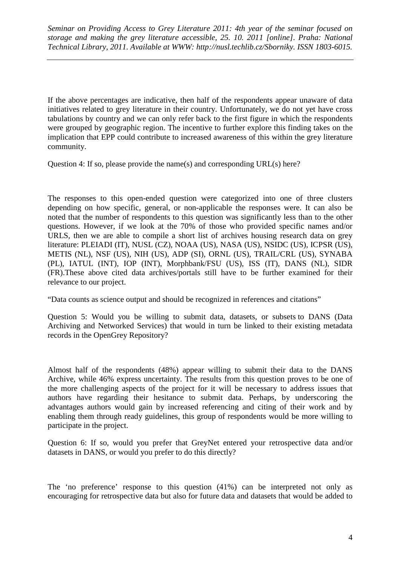If the above percentages are indicative, then half of the respondents appear unaware of data initiatives related to grey literature in their country. Unfortunately, we do not yet have cross tabulations by country and we can only refer back to the first figure in which the respondents were grouped by geographic region. The incentive to further explore this finding takes on the implication that EPP could contribute to increased awareness of this within the grey literature community.

Question 4: If so, please provide the name(s) and corresponding URL(s) here?

The responses to this open-ended question were categorized into one of three clusters depending on how specific, general, or non-applicable the responses were. It can also be noted that the number of respondents to this question was significantly less than to the other questions. However, if we look at the 70% of those who provided specific names and/or URLS, then we are able to compile a short list of archives housing research data on grey literature: PLEIADI (IT), NUSL (CZ), NOAA (US), NASA (US), NSIDC (US), ICPSR (US), METIS (NL), NSF (US), NIH (US), ADP (SI), ORNL (US), TRAIL/CRL (US), SYNABA (PL), IATUL (INT), IOP (INT), Morphbank/FSU (US), ISS (IT), DANS (NL), SIDR (FR).These above cited data archives/portals still have to be further examined for their relevance to our project.

"Data counts as science output and should be recognized in references and citations"

Question 5: Would you be willing to submit data, datasets, or subsets to DANS (Data Archiving and Networked Services) that would in turn be linked to their existing metadata records in the OpenGrey Repository?

Almost half of the respondents (48%) appear willing to submit their data to the DANS Archive, while 46% express uncertainty. The results from this question proves to be one of the more challenging aspects of the project for it will be necessary to address issues that authors have regarding their hesitance to submit data. Perhaps, by underscoring the advantages authors would gain by increased referencing and citing of their work and by enabling them through ready guidelines, this group of respondents would be more willing to participate in the project.

Question 6: If so, would you prefer that GreyNet entered your retrospective data and/or datasets in DANS, or would you prefer to do this directly?

The 'no preference' response to this question (41%) can be interpreted not only as encouraging for retrospective data but also for future data and datasets that would be added to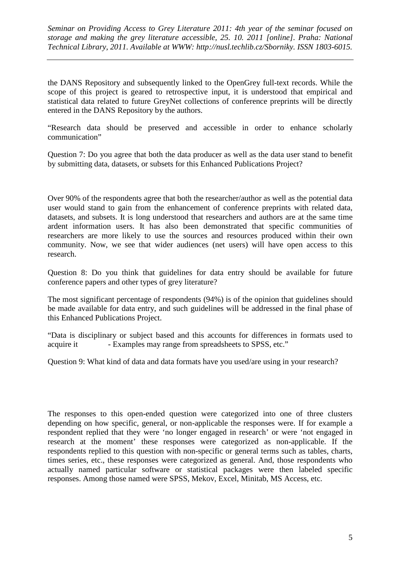the DANS Repository and subsequently linked to the OpenGrey full-text records. While the scope of this project is geared to retrospective input, it is understood that empirical and statistical data related to future GreyNet collections of conference preprints will be directly entered in the DANS Repository by the authors.

"Research data should be preserved and accessible in order to enhance scholarly communication"

Question 7: Do you agree that both the data producer as well as the data user stand to benefit by submitting data, datasets, or subsets for this Enhanced Publications Project?

Over 90% of the respondents agree that both the researcher/author as well as the potential data user would stand to gain from the enhancement of conference preprints with related data, datasets, and subsets. It is long understood that researchers and authors are at the same time ardent information users. It has also been demonstrated that specific communities of researchers are more likely to use the sources and resources produced within their own community. Now, we see that wider audiences (net users) will have open access to this research.

Question 8: Do you think that guidelines for data entry should be available for future conference papers and other types of grey literature?

The most significant percentage of respondents (94%) is of the opinion that guidelines should be made available for data entry, and such guidelines will be addressed in the final phase of this Enhanced Publications Project.

"Data is disciplinary or subject based and this accounts for differences in formats used to acquire it - Examples may range from spreadsheets to SPSS, etc."

Question 9: What kind of data and data formats have you used/are using in your research?

The responses to this open-ended question were categorized into one of three clusters depending on how specific, general, or non-applicable the responses were. If for example a respondent replied that they were 'no longer engaged in research' or were 'not engaged in research at the moment' these responses were categorized as non-applicable. If the respondents replied to this question with non-specific or general terms such as tables, charts, times series, etc., these responses were categorized as general. And, those respondents who actually named particular software or statistical packages were then labeled specific responses. Among those named were SPSS, Mekov, Excel, Minitab, MS Access, etc.